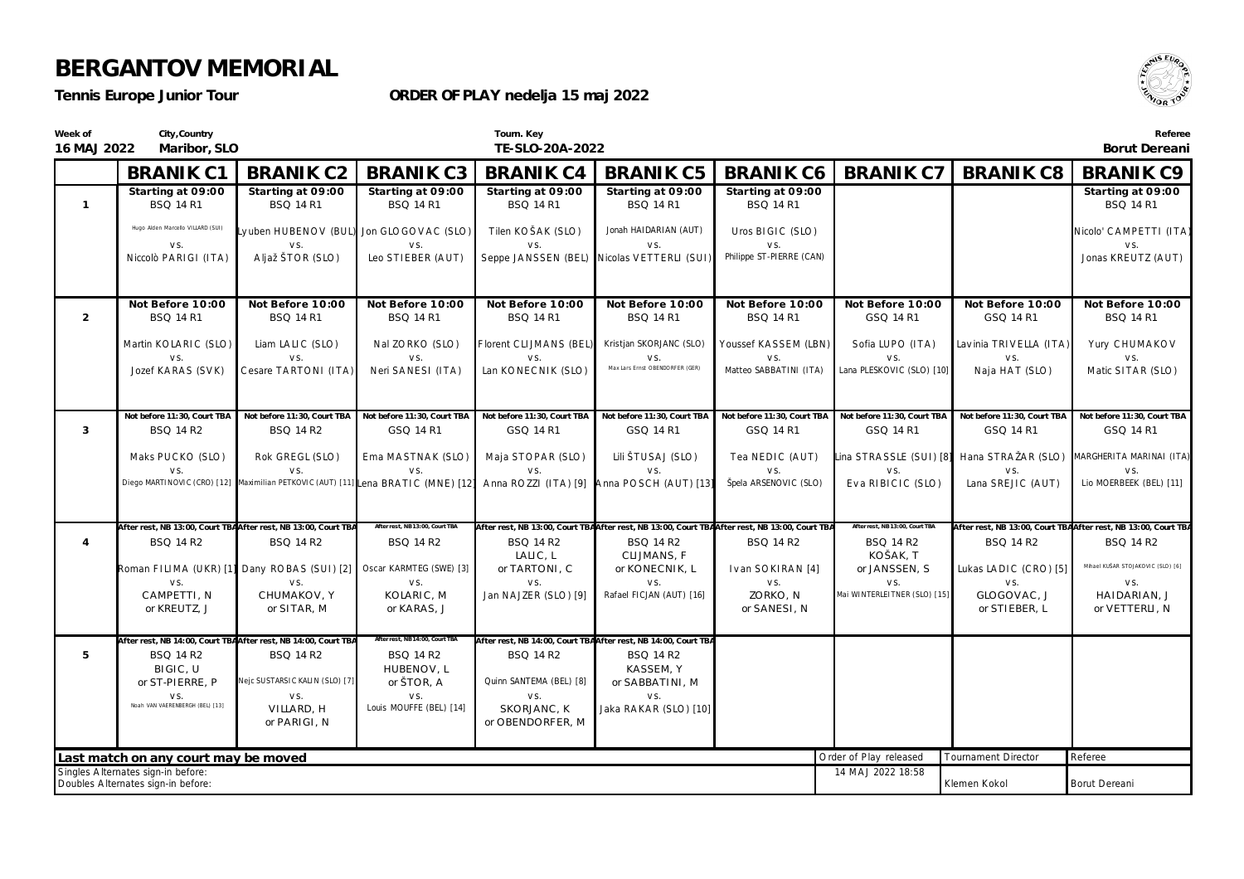*Tennis Europe Junior Tour*

**ORDER OF PLAY nedelja 15 maj 2022**



| Week of<br>16 MAJ 2022 | City, Country<br>Maribor, SLO                                            |                                                                                   |                                                    | Tourn. Key<br>TE-SLO-20A-2022                 |                                                                                                                   |                                       |                                                     |                                                                            | Referee<br>Borut Dereani                                                           |
|------------------------|--------------------------------------------------------------------------|-----------------------------------------------------------------------------------|----------------------------------------------------|-----------------------------------------------|-------------------------------------------------------------------------------------------------------------------|---------------------------------------|-----------------------------------------------------|----------------------------------------------------------------------------|------------------------------------------------------------------------------------|
|                        | <b>BRANIK C1</b>                                                         | <b>BRANIK C2</b>                                                                  | <b>BRANIK C3</b>                                   | <b>BRANIK C4</b>                              | <b>BRANIK C5</b>                                                                                                  | <b>BRANIK C6</b>                      | <b>BRANIK C7</b>                                    | <b>BRANIK C8</b>                                                           | <b>BRANIK C9</b>                                                                   |
| $\overline{1}$         | Starting at 09:00<br><b>BSQ 14 R1</b>                                    | Starting at 09:00<br>BSQ 14 R1                                                    | Starting at 09:00<br><b>BSQ 14 R1</b>              | Starting at 09:00<br><b>BSQ 14 R1</b>         | Starting at 09:00<br><b>BSQ 14 R1</b>                                                                             | Starting at 09:00<br><b>BSQ 14 R1</b> |                                                     |                                                                            | Starting at 09:00<br><b>BSQ 14 R1</b>                                              |
|                        | Hugo Alden Marcello VILLARD (SUI)<br>VS.                                 |                                                                                   | Lyuben HUBENOV (BUL) Jon GLOGOVAC (SLO)            | Tilen KOŠAK (SLO)                             | Jonah HAIDARIAN (AUT)<br>VS.                                                                                      | Uros BIGIC (SLO)<br>VS.               |                                                     |                                                                            | Nicolo' CAMPETTI (ITA)<br>VS.                                                      |
|                        | Niccolò PARIGI (ITA)                                                     | Aljaž ŠTOR (SLO)                                                                  | Leo STIEBER (AUT)                                  |                                               | Seppe JANSSEN (BEL) Nicolas VETTERLI (SUI)                                                                        | Philippe ST-PIERRE (CAN)              |                                                     |                                                                            | Jonas KREUTZ (AUT)                                                                 |
| $\overline{2}$         | Not Before 10:00<br><b>BSQ 14 R1</b>                                     | Not Before 10:00<br><b>BSQ 14 R1</b>                                              | Not Before 10:00<br><b>BSQ 14 R1</b>               | Not Before 10:00<br><b>BSQ 14 R1</b>          | Not Before 10:00<br><b>BSQ 14 R1</b>                                                                              | Not Before 10:00<br><b>BSQ 14 R1</b>  | Not Before 10:00<br>GSQ 14 R1                       | Not Before 10:00<br>GSQ 14 R1                                              | Not Before 10:00<br><b>BSQ 14 R1</b>                                               |
|                        | Martin KOLARIC (SLO)                                                     | Liam LALIC (SLO)                                                                  | Nal ZORKO (SLO)                                    | Florent CLIJMANS (BEL)                        | Kristjan SKORJANC (SLO)                                                                                           | Youssef KASSEM (LBN)                  | Sofia LUPO (ITA)                                    | Lavinia TRIVELLA (ITA)                                                     | Yury CHUMAKOV                                                                      |
|                        | VS.<br>Jozef KARAS (SVK)                                                 | VS.<br>Cesare TARTONI (ITA)                                                       | VS.<br>Neri SANESI (ITA)                           | VS.<br>Lan KONECNIK (SLO)                     | VS.<br>Max Lars Ernst OBENDORFER (GER)                                                                            | VS.<br>Matteo SABBATINI (ITA)         | VS.<br>Lana PLESKOVIC (SLO) [10]                    | VS.<br>Naja HAT (SLO)                                                      | VS.<br>Matic SITAR (SLO)                                                           |
|                        | Not before 11:30, Court TBA                                              | Not before 11:30, Court TBA                                                       | Not before 11:30, Court TBA                        | Not before 11:30, Court TBA                   | Not before 11:30, Court TBA                                                                                       | Not before 11:30, Court TBA           | Not before 11:30, Court TBA                         | Not before 11:30, Court TBA                                                | Not before 11:30, Court TBA                                                        |
| 3                      | <b>BSQ 14 R2</b>                                                         | BSQ 14 R2                                                                         | GSQ 14 R1                                          | GSQ 14 R1                                     | GSQ 14 R1                                                                                                         | GSQ 14 R1                             | GSQ 14 R1                                           | GSQ 14 R1                                                                  | GSQ 14 R1                                                                          |
|                        | Maks PUCKO (SLO)<br>VS.                                                  | Rok GREGL (SLO)<br>VS.                                                            | Ema MASTNAK (SLO)<br>VS.                           | Maja STOPAR (SLO)<br>VS.                      | Lili ŠTUSAJ (SLO)<br>VS.                                                                                          | Tea NEDIC (AUT)<br>VS.                | VS.                                                 | Lina STRASSLE (SUI) [8] Hana STRAŽAR (SLO) MARGHERITA MARINAI (ITA)<br>VS. | VS.                                                                                |
|                        |                                                                          | Diego MARTINOVIC (CRO) [12] Maximilian PETKOVIC (AUT) [11] Lena BRATIC (MNE) [12] |                                                    |                                               | Anna ROZZI (ITA) [9] Anna POSCH (AUT) [13]                                                                        | Špela ARSENOVIC (SLO)                 | Eva RIBICIC (SLO)                                   | Lana SREJIC (AUT)                                                          | Lio MOERBEEK (BEL) [11]                                                            |
| $\overline{4}$         | <b>BSQ 14 R2</b>                                                         | After rest, NB 13:00, Court TBAAfter rest, NB 13:00, Court TBA<br>BSQ 14 R2       | After rest, NB13:00, Court TBA<br><b>BSQ 14 R2</b> | <b>BSQ 14 R2</b>                              | After rest, NB 13:00, Court TBAAfter rest, NB 13:00, Court TBAAfter rest, NB 13:00, Court TBA<br><b>BSQ 14 R2</b> | BSQ 14 R2                             | After rest, NB 13:00, Court TBA<br><b>BSQ 14 R2</b> | BSQ 14 R2                                                                  | After rest, NB 13:00, Court TBAAfter rest, NB 13:00, Court TBA<br><b>BSQ 14 R2</b> |
|                        |                                                                          | Roman FILIMA (UKR) [1] Dany ROBAS (SUI) [2] Oscar KARMTEG (SWE) [3]               |                                                    | LALIC, L<br>or TARTONI, C                     | CLIJMANS, F<br>or KONECNIK, L                                                                                     | Ivan SOKIRAN <sup>[4]</sup>           | KOŠAK, T<br>or JANSSEN, S                           | Lukas LADIC (CRO) [5]                                                      | Mihael KUŠAR STOJAKOVIC (SLO) [6]                                                  |
|                        | VS.<br>CAMPETTI, N<br>or KREUTZ, J                                       | VS.<br>CHUMAKOV, Y<br>or SITAR, M                                                 | VS.<br>KOLARIC, M<br>or KARAS, J                   | VS.<br>Jan NAJZER (SLO) [9]                   | VS.<br>Rafael FICJAN (AUT) [16]                                                                                   | VS.<br>ZORKO, N<br>or SANESI, N       | VS.<br>Mai WINTERLEITNER (SLO) [15]                 | VS.<br>GLOGOVAC, J<br>or STIEBER, L                                        | VS.<br>HAIDARIAN, J<br>or VETTERLI, N                                              |
|                        | After rest, NB 14:00, Court TBAAfter rest, NB 14:00, Court TB.           |                                                                                   | After rest, NB 14:00, Court TBA                    |                                               | After rest, NB 14:00, Court TBAAfter rest, NB 14:00, Court TBA                                                    |                                       |                                                     |                                                                            |                                                                                    |
| 5                      | <b>BSQ 14 R2</b><br>BIGIC, U                                             | <b>BSQ 14 R2</b>                                                                  | <b>BSQ 14 R2</b><br>HUBENOV, L                     | <b>BSQ 14 R2</b>                              | <b>BSQ 14 R2</b><br>KASSEM, Y                                                                                     |                                       |                                                     |                                                                            |                                                                                    |
|                        | or ST-PIERRE, P<br>VS.<br>Noah VAN VAERENBERGH (BEL) [13]                | Nejc SUSTARSIC KALIN (SLO) [7]<br>VS.<br>VILLARD, H                               | or ŠTOR, A<br>VS.<br>Louis MOUFFE (BEL) [14]       | Quinn SANTEMA (BEL) [8]<br>VS.<br>SKORJANC, K | or SABBATINI, M<br>VS.<br>Jaka RAKAR (SLO) [10]                                                                   |                                       |                                                     |                                                                            |                                                                                    |
|                        |                                                                          | or PARIGI, N                                                                      |                                                    | or OBENDORFER, M                              |                                                                                                                   |                                       |                                                     |                                                                            |                                                                                    |
|                        | Last match on any court may be moved                                     |                                                                                   |                                                    |                                               |                                                                                                                   |                                       | Order of Play released                              | <b>Tournament Director</b>                                                 | Referee                                                                            |
|                        | Singles Alternates sign-in before:<br>Doubles Alternates sign-in before: |                                                                                   |                                                    |                                               |                                                                                                                   |                                       | 14 MAJ 2022 18:58                                   | Klemen Kokol                                                               | Borut Dereani                                                                      |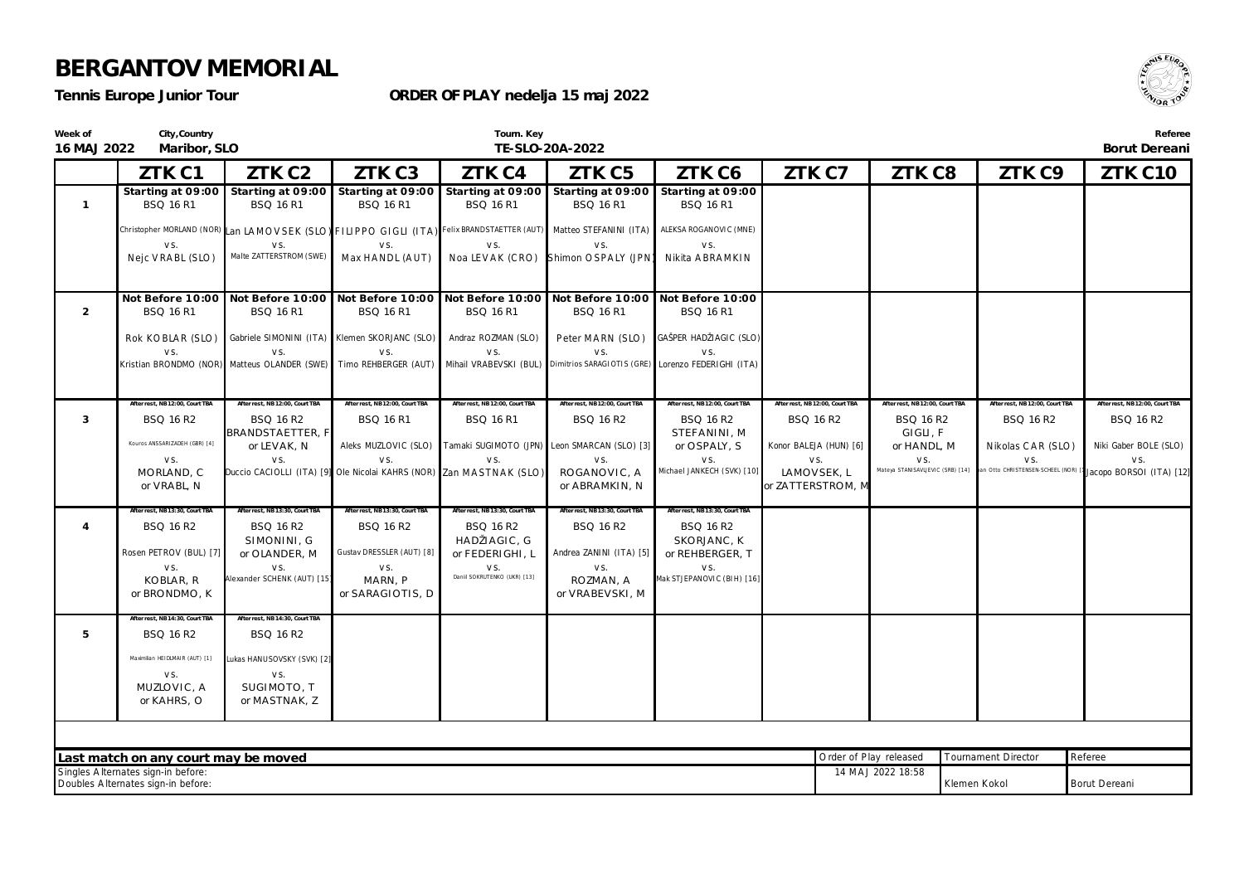**City,Country**

#### *Tennis Europe Junior Tour*

**Week of**

#### **ORDER OF PLAY nedelja 15 maj 2022**



**Tourn. Key TE-SLO-20A-2022**

**Referee Borut Dereani**

| 16 MAJ 2022    | Maribor, SLO                                                                                                                   |                                                                                                                                 | TE-SLO-20A-2022                                    |                                                                          |                                             |                                                           |                                  |                                             |                                | Borut Dereani                                                 |
|----------------|--------------------------------------------------------------------------------------------------------------------------------|---------------------------------------------------------------------------------------------------------------------------------|----------------------------------------------------|--------------------------------------------------------------------------|---------------------------------------------|-----------------------------------------------------------|----------------------------------|---------------------------------------------|--------------------------------|---------------------------------------------------------------|
|                | ZTK C1                                                                                                                         | ZTK C <sub>2</sub>                                                                                                              | ZTK C3                                             | ZTK C4                                                                   | ZTK C5                                      | ZTK C6                                                    | ZTK C7                           | ZTK C8                                      | ZTK C9                         | ZTK C10                                                       |
| $\overline{1}$ | <b>BSQ 16 R1</b>                                                                                                               | Starting at 09:00 Starting at 09:00 Starting at 09:00 Starting at 09:00 Starting at 09:00 Starting at 09:00<br><b>BSQ 16 R1</b> | <b>BSQ 16 R1</b>                                   | <b>BSQ 16 R1</b>                                                         | <b>BSQ 16 R1</b>                            | BSQ 16 R1                                                 |                                  |                                             |                                |                                                               |
|                |                                                                                                                                | Christopher MORLAND (NOR) Lan LAMOVSEK (SLO) FILIPPO GIGLI (ITA) Felix BRANDSTAETTER (AUT) Matteo STEFANINI (ITA)               |                                                    |                                                                          |                                             | ALEKSA ROGANOVIC (MNE)                                    |                                  |                                             |                                |                                                               |
|                | VS.<br>Nejc VRABL (SLO)                                                                                                        | VS.<br>Malte ZATTERSTROM (SWE)                                                                                                  | VS.<br>Max HANDL (AUT)                             | VS.<br>Noa LEVAK (CRO)                                                   | VS.<br>Shimon OSPALY (JPN)                  | VS.<br>Nikita ABRAMKIN                                    |                                  |                                             |                                |                                                               |
| $\overline{2}$ | <b>BSQ 16 R1</b>                                                                                                               | Not Before 10:00 Not Before 10:00 Not Before 10:00 Not Before 10:00 Not Before 10:00 Not Before 10:00<br><b>BSQ 16 R1</b>       | <b>BSQ 16 R1</b>                                   | <b>BSQ 16 R1</b>                                                         | <b>BSQ 16 R1</b>                            | BSQ 16 R1                                                 |                                  |                                             |                                |                                                               |
|                | Rok KOBLAR (SLO)                                                                                                               |                                                                                                                                 | Gabriele SIMONINI (ITA) Klemen SKORJANC (SLO)      | Andraz ROZMAN (SLO)                                                      | Peter MARN (SLO)                            | GAŠPER HADŽIAGIC (SLO)                                    |                                  |                                             |                                |                                                               |
|                | VS.                                                                                                                            | VS.<br>Kristian BRONDMO (NOR) Matteus OLANDER (SWE) Timo REHBERGER (AUT)                                                        | VS.                                                | VS.<br>Mihail VRABEVSKI (BUL)                                            | VS.                                         | VS.<br>Dimitrios SARAGIOTIS (GRE) Lorenzo FEDERIGHI (ITA) |                                  |                                             |                                |                                                               |
| 3              | After rest, NB12:00, Court TBA<br>BSQ 16 R2                                                                                    | After rest, NB12:00, Court TBA<br>BSQ 16 R2                                                                                     | After rest, NB12:00, Court TBA<br><b>BSQ 16 R1</b> | After rest, NB12:00, Court TBA<br><b>BSQ 16 R1</b>                       | After rest, NB12:00, Court TBA              | After rest, NB 12:00, Court TBA<br>BSQ 16 R2              | After rest, NB 12:00, Court TBA  | After rest, NB12:00, Court TBA<br>BSQ 16 R2 | After rest, NB12:00, Court TBA | After rest. NB12:00. Court T<br>BSQ 16 R2                     |
|                | Kouros ANSSARIZADEH (GBR) [4]                                                                                                  | BRANDSTAETTER, F                                                                                                                |                                                    |                                                                          | BSQ 16 R2                                   | STEFANINI, M                                              | BSQ 16 R2                        | GIGLI, F                                    | BSQ 16 R2                      |                                                               |
|                | VS.                                                                                                                            | or LEVAK, N<br>VS.                                                                                                              | VS.                                                | Aleks MUZLOVIC (SLO) Tamaki SUGIMOTO (JPN) Leon SMARCAN (SLO) [3]<br>VS. | VS.                                         | or OSPALY, S<br>VS.                                       | Konor BALEJA (HUN) [6]<br>VS.    | or HANDL, M<br>VS.                          | Nikolas CAR (SLO)<br>VS.       | Niki Gaber BOLE (SLO)<br>VS.                                  |
|                | MORLAND, C<br>or VRABL, N                                                                                                      | Duccio CACIOLLI (ITA) [9] Ole Nicolai KAHRS (NOR) Zan MASTNAK (SLO)                                                             |                                                    |                                                                          | ROGANOVIC, A<br>or ABRAMKIN, N              | Michael JANKECH (SVK) [10]                                | LAMOVSEK, L<br>or ZATTERSTROM, M | Mateya STANISAVLJEVIC (SRB) [14]            |                                | an Otto CHRISTENSEN-SCHEEL (NOR) [1] Jacopo BORSOI (ITA) [12] |
| $\overline{4}$ | After rest, NB 13:30, Court TBA<br><b>BSQ 16 R2</b>                                                                            | Mfter rest, NB 13:30, Court TBA<br>BSQ 16 R2                                                                                    | After rest, NB13:30, Court TBA<br>BSQ 16 R2        | After rest, NB 13:30, Court TBA<br>BSQ 16 R2                             | After rest, NB13:30, Court TBA<br>BSQ 16 R2 | After rest, NB13:30, Court TBA<br>BSQ 16 R2               |                                  |                                             |                                |                                                               |
|                | Rosen PETROV (BUL) [7]                                                                                                         | SIMONINI, G<br>or OLANDER, M                                                                                                    | Gustav DRESSLER (AUT) [8]                          | HADŽIAGIC, G<br>or FEDERIGHI, L                                          | Andrea ZANINI (ITA) [5]                     | SKORJANC, K<br>or REHBERGER, T                            |                                  |                                             |                                |                                                               |
|                | VS.<br>KOBLAR, R                                                                                                               | VS.<br>Alexander SCHENK (AUT) [15]                                                                                              | VS.<br>MARN, P                                     | VS.<br>Daniil SOKRUTENKO (UKR) [13]                                      | VS.<br>ROZMAN, A                            | VS.<br>Mak STJEPANOVIC (BIH) [16]                         |                                  |                                             |                                |                                                               |
|                | or BRONDMO, K                                                                                                                  |                                                                                                                                 | or SARAGIOTIS, D                                   |                                                                          | or VRABEVSKI, M                             |                                                           |                                  |                                             |                                |                                                               |
| 5              | After rest, NB 14:30, Court TBA<br>BSQ 16 R2                                                                                   | After rest, NB 14:30, Court TBA<br>BSQ 16 R2                                                                                    |                                                    |                                                                          |                                             |                                                           |                                  |                                             |                                |                                                               |
|                | Maximilian HEIDLMAIR (AUT) [1]                                                                                                 |                                                                                                                                 |                                                    |                                                                          |                                             |                                                           |                                  |                                             |                                |                                                               |
|                | VS.                                                                                                                            | Lukas HANUSOVSKY (SVK) [2]<br>VS.                                                                                               |                                                    |                                                                          |                                             |                                                           |                                  |                                             |                                |                                                               |
|                | MUZLOVIC, A<br>or KAHRS, O                                                                                                     | SUGIMOTO, T<br>or MASTNAK, Z                                                                                                    |                                                    |                                                                          |                                             |                                                           |                                  |                                             |                                |                                                               |
|                |                                                                                                                                |                                                                                                                                 |                                                    |                                                                          |                                             |                                                           |                                  |                                             |                                |                                                               |
|                | Last match on any court may be moved                                                                                           |                                                                                                                                 |                                                    |                                                                          |                                             |                                                           |                                  | Order of Play released                      | <b>Tournament Director</b>     | Referee                                                       |
|                | Singles Alternates sign-in before:<br>14 MAJ 2022 18:58<br>Doubles Alternates sign-in before:<br>Klemen Kokol<br>Borut Dereani |                                                                                                                                 |                                                    |                                                                          |                                             |                                                           |                                  |                                             |                                |                                                               |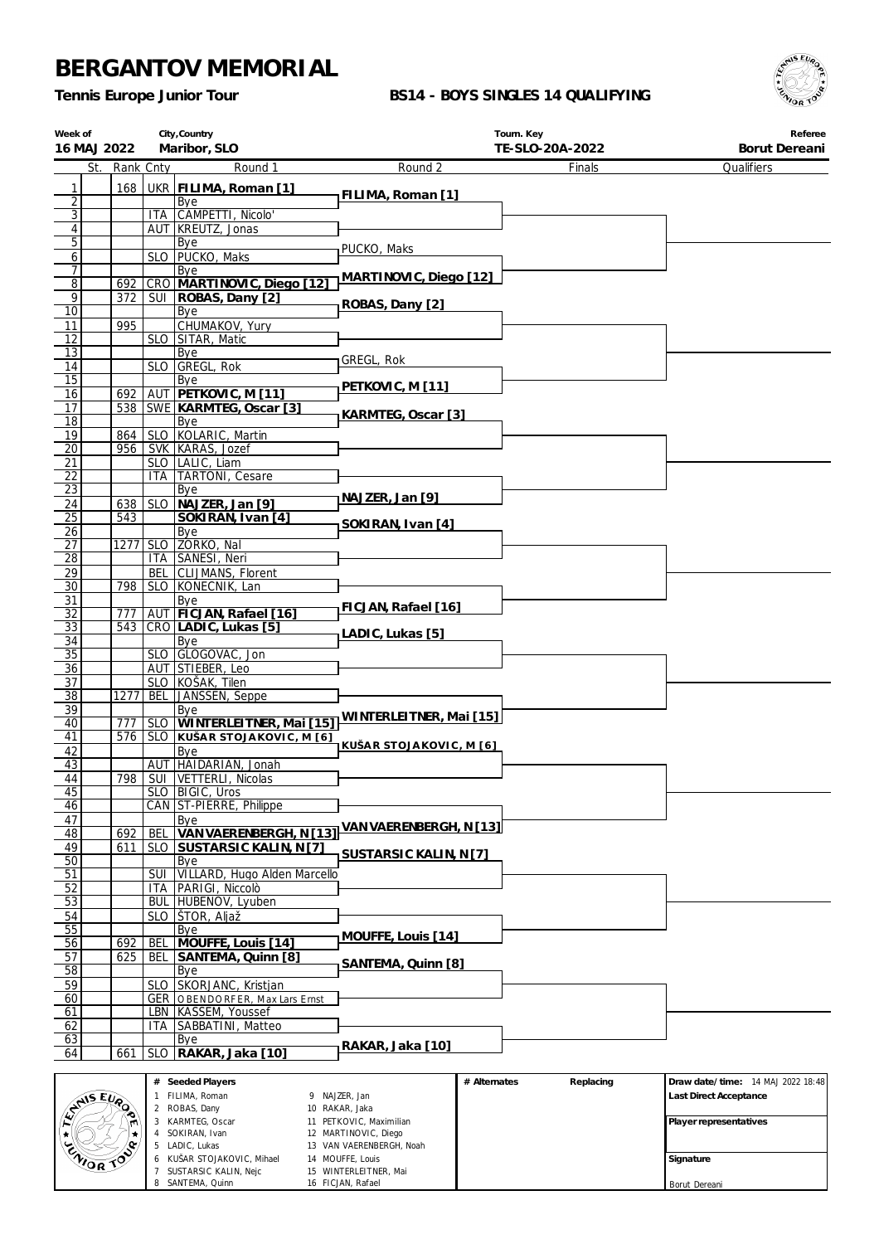KUŠAR STOJAKOVIC, Mihael SUSTARSIC KALIN, Nejc 8 SANTEMA, Quinn

 VAN VAERENBERGH, Noah MOUFFE, Louis WINTERLEITNER, Mai FICJAN, Rafael

*Tennis Europe Junior Tour*

#### **BS14 - BOYS SINGLES 14 QUALIFYING**



**Signature** Borut Dereani

| Week of<br>16 MAJ 2022  |            |                     | City, Country                                     |                                                 | Tourn. Key                | Referee<br>Borut Dereani          |
|-------------------------|------------|---------------------|---------------------------------------------------|-------------------------------------------------|---------------------------|-----------------------------------|
| St.                     | Rank Cnty  |                     | Maribor, SLO<br>Round 1                           | Round 2                                         | TE-SLO-20A-2022<br>Finals | Qualifiers                        |
|                         |            |                     |                                                   |                                                 |                           |                                   |
| 1<br>$\overline{2}$     | 168        |                     | UKR FILIMA, Roman [1]<br>Bye                      | FILIMA, Roman [1]                               |                           |                                   |
| $\overline{3}$          |            |                     | ITA CAMPETTI, Nicolo'                             |                                                 |                           |                                   |
| $\overline{\mathbf{4}}$ |            |                     | AUT   KREUTZ, Jonas                               |                                                 |                           |                                   |
| 5 <sup>1</sup>          |            |                     | Bye<br>SLO   PUCKO, Maks                          | PUCKO, Maks                                     |                           |                                   |
| $\overline{6}$<br>7     |            |                     | Bye                                               |                                                 |                           |                                   |
| $\overline{8}$          | 692        |                     | CRO MARTINOVIC, Diego [12]                        | MARTINOVIC, Diego [12]                          |                           |                                   |
| $\overline{9}$          | 372        | SUI                 | ROBAS, Dany [2]                                   | ROBAS, Dany [2]                                 |                           |                                   |
| 10<br>11                | 995        |                     | Bye<br>CHUMAKOV, Yury                             |                                                 |                           |                                   |
| 12                      |            |                     | SLO SITAR, Matic                                  |                                                 |                           |                                   |
| $\overline{13}$         |            |                     | Bye                                               | GREGL, Rok                                      |                           |                                   |
| 14<br>$\overline{15}$   |            | <b>SLO</b>          | GREGL, Rok<br>Bye                                 |                                                 |                           |                                   |
| 16                      | 692        | AUT                 | PETKOVIC, M [11]                                  | PETKOVIC, M [11]                                |                           |                                   |
| 17                      |            |                     | 538 SWE KARMTEG, Oscar [3]                        | KARMTEG, Oscar [3]                              |                           |                                   |
| 18                      |            |                     | Bye<br>SLO KOLARIC, Martin                        |                                                 |                           |                                   |
| 19<br>$\overline{20}$   | 864<br>956 |                     | SVK KARAS, Jozef                                  |                                                 |                           |                                   |
| 21                      |            |                     | SLO   LALIC, Liam                                 |                                                 |                           |                                   |
| 22                      |            | ITA.                | <b>TARTONI</b> , Cesare                           |                                                 |                           |                                   |
| 23<br>24                | 638        | <b>SLO</b>          | Bye<br>NAJZER, Jan [9]                            | NAJZER, Jan [9]                                 |                           |                                   |
| $\overline{25}$         | 543        |                     | SOKIRAN, Ivan [4]                                 |                                                 |                           |                                   |
| 26                      |            |                     | Bye                                               | SOKIRAN, Ivan [4]                               |                           |                                   |
| 27                      | 1277       |                     | SLO ZORKO, Nal                                    |                                                 |                           |                                   |
| 28<br>29                |            | <b>BEL</b>          | ITA SANESI, Neri<br>CLIJMANS, Florent             |                                                 |                           |                                   |
| $\overline{30}$         | 798        |                     | SLO KONECNIK, Lan                                 |                                                 |                           |                                   |
| 31                      |            |                     | Bye                                               | FICJAN, Rafael [16]                             |                           |                                   |
| $\overline{32}$         | 777        |                     | AUT FICJAN, Rafael [16]                           |                                                 |                           |                                   |
| 33<br>34                | 543        |                     | CRO LADIC, Lukas [5]<br>Bye                       | LADIC, Lukas [5]                                |                           |                                   |
| $\overline{35}$         |            |                     | SLO GLOGOVAC, Jon                                 |                                                 |                           |                                   |
| 36                      |            |                     | AUT STIEBER, Leo                                  |                                                 |                           |                                   |
| 37<br>38                | 1277       | BEL                 | SLO KOŠAK, Tilen<br>JANSSEN, Seppe                |                                                 |                           |                                   |
| 39                      |            |                     | Bye                                               |                                                 |                           |                                   |
| 40                      | 777        | <b>SLO</b>          | WINTERLEITNER, Mai [15]                           | WINTERLEITNER, Mai [15]                         |                           |                                   |
| 41                      | 576        |                     | SLO KUŠAR STOJAKOVIC, M [6]                       | KUŠAR STOJAKOVIC, M [6]                         |                           |                                   |
| 42<br>43                |            |                     | Bye<br>AUT HAIDARIAN, Jonah                       |                                                 |                           |                                   |
| 44                      |            |                     | 798   SUI   VETTERLI, Nicolas                     |                                                 |                           |                                   |
| 45                      |            |                     | SLO   BIGIC, Uros                                 |                                                 |                           |                                   |
| 46<br>47                |            |                     | CAN ST-PIERRE, Philippe<br>Bye                    |                                                 |                           |                                   |
| 48                      | 692        | BEL                 | VAN VAERENBERGH, N [13]                           | VAN VAERENBERGH, N [13]                         |                           |                                   |
| 49                      | 611        | <b>SLO</b>          | SUSTARSIC KALIN, N [7]                            | SUSTARSIC KALIN, N [7]                          |                           |                                   |
| $\overline{50}$         |            |                     | Bye<br>VILLARD, Hugo Alden Marcello               |                                                 |                           |                                   |
| 51<br>52                |            | SUI<br>ITA          | PARIGI, Niccolò                                   |                                                 |                           |                                   |
| 53                      |            | BUL                 | HUBENOV, Lyuben                                   |                                                 |                           |                                   |
| 54                      |            | <b>SLO</b>          | ŠTOR, Aljaž                                       |                                                 |                           |                                   |
| 55                      | 692        |                     | Bye                                               | MOUFFE, Louis [14]                              |                           |                                   |
| 56<br>57                | 625        | BEL<br>BEL          | MOUFFE, Louis [14]<br>SANTEMA, Quinn [8]          |                                                 |                           |                                   |
| 58                      |            |                     | Bye                                               | SANTEMA, Quinn [8]                              |                           |                                   |
| 59                      |            | <b>SLO</b>          | SKORJANC, Kristjan                                |                                                 |                           |                                   |
| 60<br>61                |            | GER<br>LBN          | OBENDORFER, Max Lars Ernst<br>KASSEM, Youssef     |                                                 |                           |                                   |
| 62                      |            | ITA                 | SABBATINI, Matteo                                 |                                                 |                           |                                   |
| 63                      |            |                     | Bye                                               | RAKAR, Jaka [10]                                |                           |                                   |
| 64                      | 661        | <b>SLO</b>          | RAKAR, Jaka [10]                                  |                                                 |                           |                                   |
|                         |            |                     | # Seeded Players                                  |                                                 | # Alternates<br>Replacing | Draw date/time: 14 MAJ 2022 18:48 |
| ENISEURO                |            | $\mathbf{1}$        | FILIMA, Roman                                     | 9 NAJZER, Jan                                   |                           | Last Direct Acceptance            |
|                         |            |                     | 2 ROBAS, Dany                                     | 10 RAKAR, Jaka                                  |                           |                                   |
|                         |            |                     | 3 KARMTEG, Oscar<br>4 SOKIRAN, Ivan               | 11 PETKOVIC, Maximilian<br>12 MARTINOVIC, Diego |                           | Player representatives            |
|                         |            |                     | 5 LADIC, Lukas                                    | 13 VAN VAERENBERGH, Noah                        |                           |                                   |
| ZNIOR TO                |            | 6<br>$\overline{7}$ | KUŠAR STOJAKOVIC, Mihael<br>SUSTARSIC KALIN, Neic | 14 MOUFFE, Louis<br>15 WINTERLEITNER. Mai       |                           | Signature                         |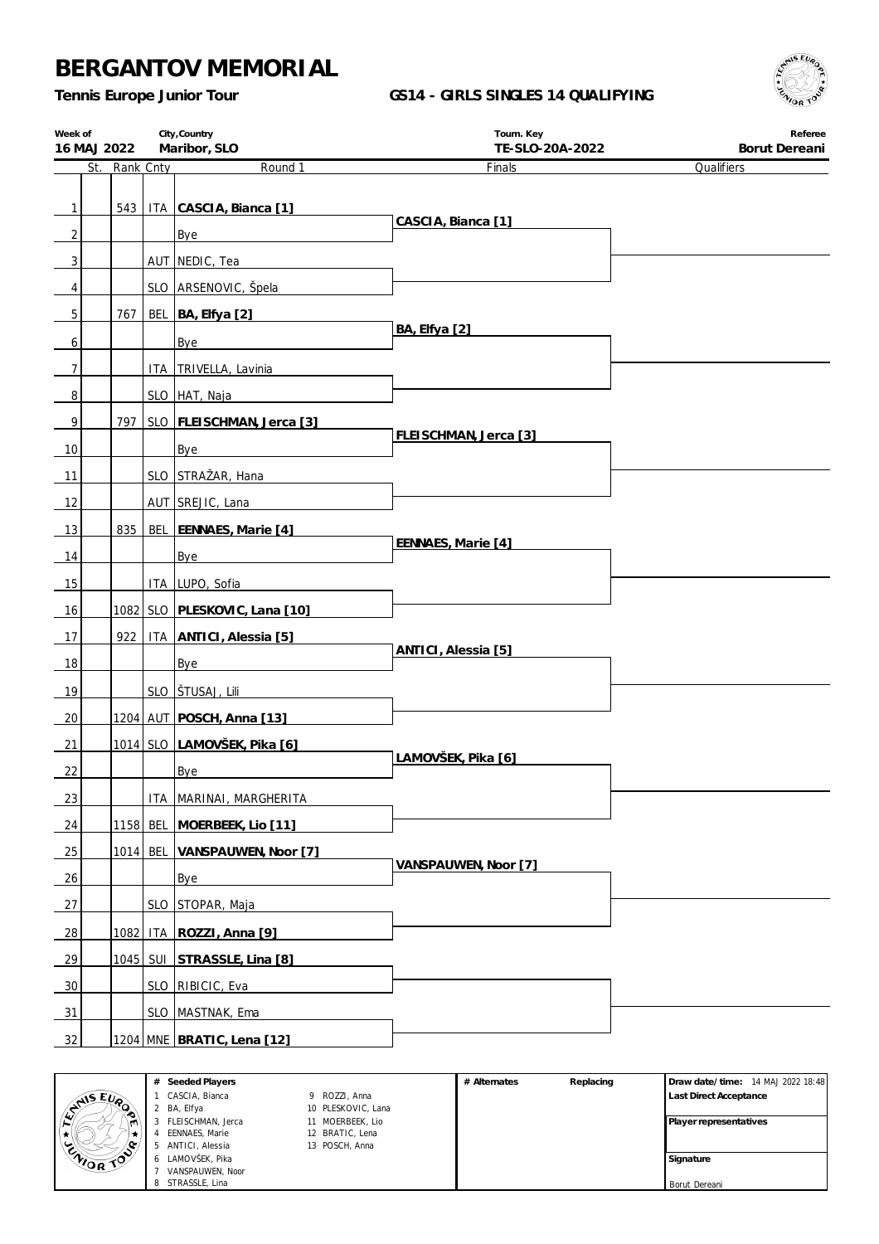*Tennis Europe Junior Tour*

### **GS14 - GIRLS SINGLES 14 QUALIFYING**



| Week of        | City, Country<br>Maribor, SLO<br>16 MAJ 2022 |               |  | Tourn. Key<br>TE-SLO-20A-2022      | Referee<br>Borut Dereani |            |
|----------------|----------------------------------------------|---------------|--|------------------------------------|--------------------------|------------|
|                |                                              | St. Rank Cnty |  | Round 1                            | Finals                   | Qualifiers |
|                |                                              |               |  |                                    |                          |            |
| 1              |                                              |               |  | 543   ITA CASCIA, Bianca [1]       | CASCIA, Bianca [1]       |            |
| 2              |                                              |               |  | Bye                                |                          |            |
| 3              |                                              |               |  | AUT NEDIC, Tea                     |                          |            |
| 4              |                                              |               |  | SLO ARSENOVIC, Špela               |                          |            |
| 5              |                                              | 767           |  | BEL BA, Elfya [2]                  | BA, Elfya [2]            |            |
| 6              |                                              |               |  | Bye                                |                          |            |
| $\overline{7}$ |                                              |               |  | ITA TRIVELLA, Lavinia              |                          |            |
| 8              |                                              |               |  | SLO HAT, Naja                      |                          |            |
| 9              |                                              |               |  | 797   SLO   FLEISCHMAN, Jerca [3]  |                          |            |
| 10             |                                              |               |  | Bye                                | FLEISCHMAN, Jerca [3]    |            |
| 11             |                                              |               |  | SLO STRAŽAR, Hana                  |                          |            |
| 12             |                                              |               |  | AUT SREJIC, Lana                   |                          |            |
| 13             |                                              | 835           |  | BEL EENNAES, Marie [4]             |                          |            |
| 14             |                                              |               |  | Bye                                | EENNAES, Marie [4]       |            |
| 15             |                                              |               |  | ITA LUPO, Sofia                    |                          |            |
| 16             |                                              |               |  | 1082 SLO PLESKOVIC, Lana [10]      |                          |            |
| 17             |                                              |               |  | 922   ITA ANTICI, Alessia [5]      |                          |            |
| 18             |                                              |               |  | Bye                                | ANTICI, Alessia [5]      |            |
| 19             |                                              |               |  | SLO STUSAJ, Lili                   |                          |            |
| 20             |                                              |               |  | 1204 AUT POSCH, Anna [13]          |                          |            |
| 21             |                                              |               |  | 1014 SLO LAMOVŠEK, Pika [6]        |                          |            |
| 22             |                                              |               |  | <b>Bye</b>                         | LAMOVŠEK, Pika [6]       |            |
| 23             |                                              |               |  | ITA MARINAI, MARGHERITA            |                          |            |
| 24             |                                              |               |  | 1158 BEL MOERBEEK, Lio [11]        |                          |            |
| 25             |                                              |               |  | 1014 BEL VANSPAUWEN, Noor [7]      |                          |            |
| 26             |                                              |               |  | Bye                                | VANSPAUWEN, Noor [7]     |            |
| 27             |                                              |               |  | SLO STOPAR, Maja                   |                          |            |
| 28             |                                              | 1082          |  | ITA ROZZI, Anna [9]                |                          |            |
| 29             |                                              |               |  | <u>1045 SUI STRASSLE, Lina [8]</u> |                          |            |
| 30             |                                              |               |  | SLO RIBICIC, Eva                   |                          |            |
| 31             |                                              |               |  | SLO MASTNAK, Ema                   |                          |            |
|                |                                              |               |  |                                    |                          |            |
| 32             |                                              |               |  | 1204 MNE BRATIC, Lena [12]         |                          |            |

|                | # | Seeded Players    |                    | # Alternates | Replacing | Draw date/time: 14 MAJ 2022 18:48 |
|----------------|---|-------------------|--------------------|--------------|-----------|-----------------------------------|
| <b>ANS EVA</b> |   | CASCIA, Bianca    | 9 ROZZI, Anna      |              |           | <b>Last Direct Acceptance</b>     |
| ∼              |   | BA, Elfya         | 10 PLESKOVIC, Lana |              |           |                                   |
| m              |   | FLEISCHMAN, Jerca | 11 MOERBEEK, Lio   |              |           | <b>Player representatives</b>     |
| ₩              |   | EENNAES, Marie    | 12 BRATIC, Lena    |              |           |                                   |
| . مە           |   | ANTICI, Alessia   | 13 POSCH, Anna     |              |           |                                   |
| CAIOR TOO      |   | LAMOVŠEK, Pika    |                    |              |           | Signature                         |
|                |   | VANSPAUWEN, Noor  |                    |              |           |                                   |
|                |   | STRASSLE, Lina    |                    |              |           | Borut Dereani                     |